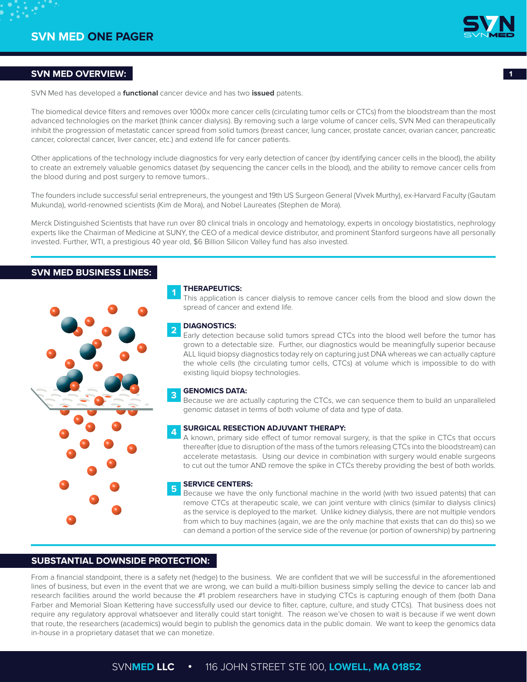

# **SVN MED OVERVIEW: 1**

SVN Med has developed a **functional** cancer device and has two **issued** patents.

The biomedical device filters and removes over 1000x more cancer cells (circulating tumor cells or CTCs) from the bloodstream than the most advanced technologies on the market (think cancer dialysis). By removing such a large volume of cancer cells, SVN Med can therapeutically inhibit the progression of metastatic cancer spread from solid tumors (breast cancer, lung cancer, prostate cancer, ovarian cancer, pancreatic cancer, colorectal cancer, liver cancer, etc.) and extend life for cancer patients.

Other applications of the technology include diagnostics for very early detection of cancer (by identifying cancer cells in the blood), the ability to create an extremely valuable genomics dataset (by sequencing the cancer cells in the blood), and the ability to remove cancer cells from the blood during and post surgery to remove tumors..

The founders include successful serial entrepreneurs, the youngest and 19th US Surgeon General (Vivek Murthy), ex-Harvard Faculty (Gautam Mukunda), world-renowned scientists (Kim de Mora), and Nobel Laureates (Stephen de Mora).

Merck Distinguished Scientists that have run over 80 clinical trials in oncology and hematology, experts in oncology biostatistics, nephrology experts like the Chairman of Medicine at SUNY, the CEO of a medical device distributor, and prominent Stanford surgeons have all personally invested. Further, WTI, a prestigious 40 year old, \$6 Billion Silicon Valley fund has also invested.

# **SVN MED BUSINESS LINES:**



### **THERAPEUTICS:**

**1**

This application is cancer dialysis to remove cancer cells from the blood and slow down the spread of cancer and extend life.

#### **DIAGNOSTICS: 2**

Early detection because solid tumors spread CTCs into the blood well before the tumor has grown to a detectable size. Further, our diagnostics would be meaningfully superior because ALL liquid biopsy diagnostics today rely on capturing just DNA whereas we can actually capture the whole cells (the circulating tumor cells, CTCs) at volume which is impossible to do with existing liquid biopsy technologies.

#### **GENOMICS DATA: 3**

Because we are actually capturing the CTCs, we can sequence them to build an unparalleled genomic dataset in terms of both volume of data and type of data.

#### **SURGICAL RESECTION ADJUVANT THERAPY: 4**

A known, primary side effect of tumor removal surgery, is that the spike in CTCs that occurs thereafter (due to disruption of the mass of the tumors releasing CTCs into the bloodstream) can accelerate metastasis. Using our device in combination with surgery would enable surgeons to cut out the tumor AND remove the spike in CTCs thereby providing the best of both worlds.

#### **SERVICE CENTERS: 5**

Because we have the only functional machine in the world (with two issued patents) that can remove CTCs at therapeutic scale, we can joint venture with clinics (similar to dialysis clinics) as the service is deployed to the market. Unlike kidney dialysis, there are not multiple vendors from which to buy machines (again, we are the only machine that exists that can do this) so we can demand a portion of the service side of the revenue (or portion of ownership) by partnering

## **SUBSTANTIAL DOWNSIDE PROTECTION:**

From a financial standpoint, there is a safety net (hedge) to the business. We are confident that we will be successful in the aforementioned lines of business, but even in the event that we are wrong, we can build a multi-billion business simply selling the device to cancer lab and research facilities around the world because the #1 problem researchers have in studying CTCs is capturing enough of them (both Dana Farber and Memorial Sloan Kettering have successfully used our device to filter, capture, culture, and study CTCs). That business does not require any regulatory approval whatsoever and literally could start tonight. The reason we've chosen to wait is because if we went down that route, the researchers (academics) would begin to publish the genomics data in the public domain. We want to keep the genomics data in-house in a proprietary dataset that we can monetize.

# SVN**MED LLC** •116 JOHN STREET STE 100, **LOWELL, MA 01852**